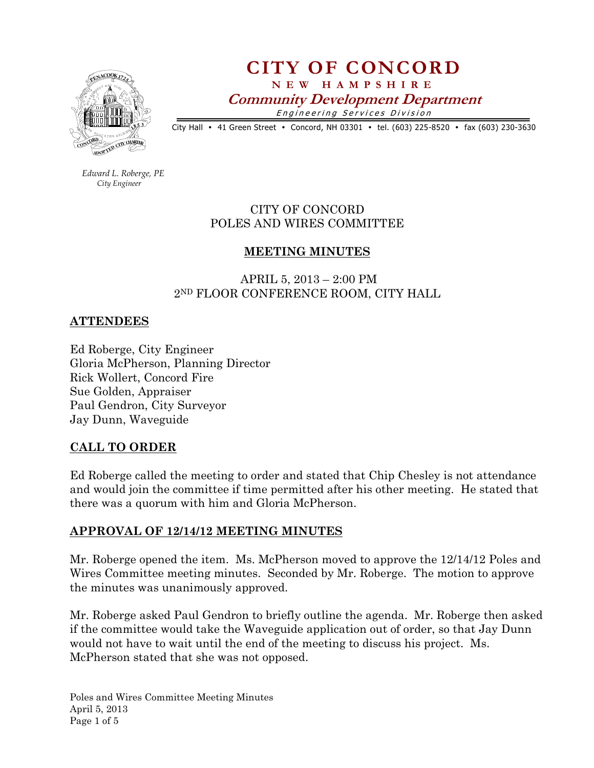

# CITY OF CONCORD N E W H A M P S H I R E Community Development Department Engineering Services Division

City Hall • 41 Green Street • Concord, NH 03301 • tel. (603) 225-8520 • fax (603) 230-3630

 Edward L. Roberge, PE City Engineer

> CITY OF CONCORD POLES AND WIRES COMMITTEE

## MEETING MINUTES

 APRIL 5, 2013 – 2:00 PM 2ND FLOOR CONFERENCE ROOM, CITY HALL

#### ATTENDEES

Ed Roberge, City Engineer Gloria McPherson, Planning Director Rick Wollert, Concord Fire Sue Golden, Appraiser Paul Gendron, City Surveyor Jay Dunn, Waveguide

## CALL TO ORDER

Ed Roberge called the meeting to order and stated that Chip Chesley is not attendance and would join the committee if time permitted after his other meeting. He stated that there was a quorum with him and Gloria McPherson.

## APPROVAL OF 12/14/12 MEETING MINUTES

Mr. Roberge opened the item. Ms. McPherson moved to approve the 12/14/12 Poles and Wires Committee meeting minutes. Seconded by Mr. Roberge. The motion to approve the minutes was unanimously approved.

Mr. Roberge asked Paul Gendron to briefly outline the agenda. Mr. Roberge then asked if the committee would take the Waveguide application out of order, so that Jay Dunn would not have to wait until the end of the meeting to discuss his project. Ms. McPherson stated that she was not opposed.

Poles and Wires Committee Meeting Minutes April 5, 2013 Page 1 of 5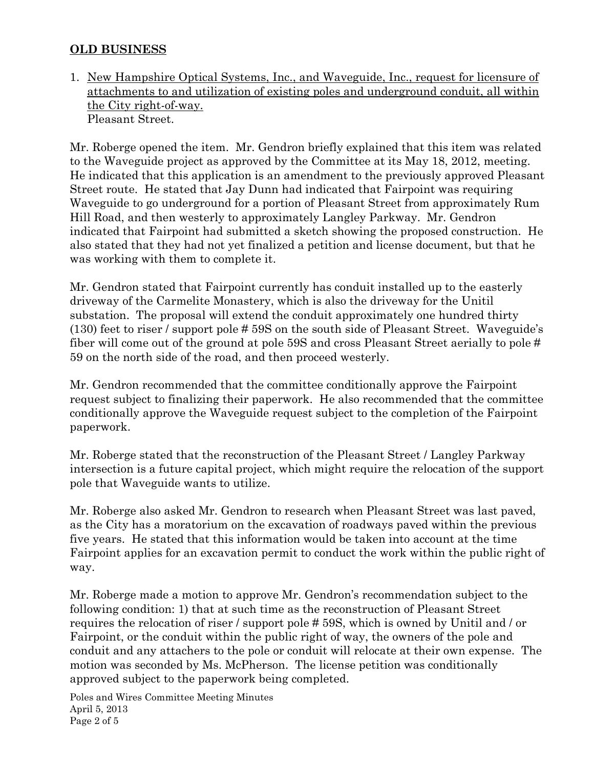## OLD BUSINESS

1. New Hampshire Optical Systems, Inc., and Waveguide, Inc., request for licensure of attachments to and utilization of existing poles and underground conduit, all within the City right-of-way. Pleasant Street.

Mr. Roberge opened the item. Mr. Gendron briefly explained that this item was related to the Waveguide project as approved by the Committee at its May 18, 2012, meeting. He indicated that this application is an amendment to the previously approved Pleasant Street route. He stated that Jay Dunn had indicated that Fairpoint was requiring Waveguide to go underground for a portion of Pleasant Street from approximately Rum Hill Road, and then westerly to approximately Langley Parkway. Mr. Gendron indicated that Fairpoint had submitted a sketch showing the proposed construction. He also stated that they had not yet finalized a petition and license document, but that he was working with them to complete it.

Mr. Gendron stated that Fairpoint currently has conduit installed up to the easterly driveway of the Carmelite Monastery, which is also the driveway for the Unitil substation. The proposal will extend the conduit approximately one hundred thirty (130) feet to riser / support pole # 59S on the south side of Pleasant Street. Waveguide's fiber will come out of the ground at pole 59S and cross Pleasant Street aerially to pole # 59 on the north side of the road, and then proceed westerly.

Mr. Gendron recommended that the committee conditionally approve the Fairpoint request subject to finalizing their paperwork. He also recommended that the committee conditionally approve the Waveguide request subject to the completion of the Fairpoint paperwork.

Mr. Roberge stated that the reconstruction of the Pleasant Street / Langley Parkway intersection is a future capital project, which might require the relocation of the support pole that Waveguide wants to utilize.

Mr. Roberge also asked Mr. Gendron to research when Pleasant Street was last paved, as the City has a moratorium on the excavation of roadways paved within the previous five years. He stated that this information would be taken into account at the time Fairpoint applies for an excavation permit to conduct the work within the public right of way.

Mr. Roberge made a motion to approve Mr. Gendron's recommendation subject to the following condition: 1) that at such time as the reconstruction of Pleasant Street requires the relocation of riser / support pole # 59S, which is owned by Unitil and / or Fairpoint, or the conduit within the public right of way, the owners of the pole and conduit and any attachers to the pole or conduit will relocate at their own expense. The motion was seconded by Ms. McPherson. The license petition was conditionally approved subject to the paperwork being completed.

Poles and Wires Committee Meeting Minutes April 5, 2013 Page 2 of 5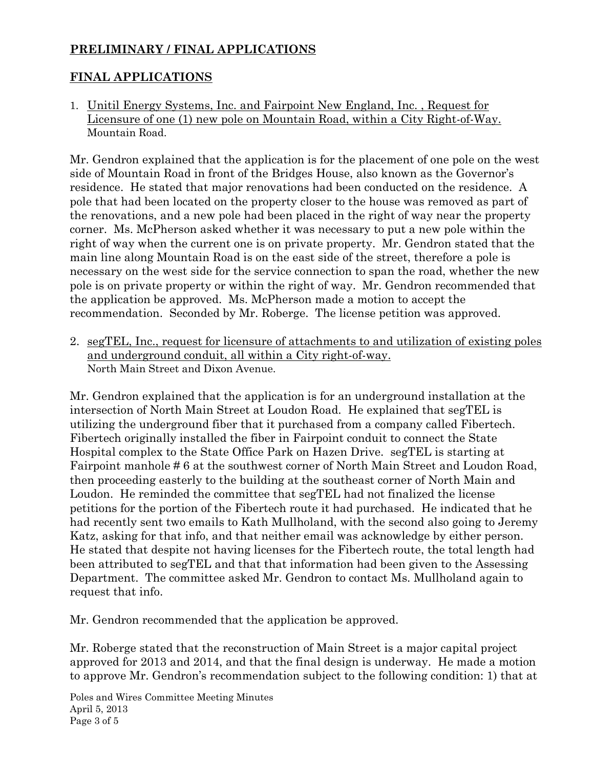# PRELIMINARY / FINAL APPLICATIONS

## FINAL APPLICATIONS

1. Unitil Energy Systems, Inc. and Fairpoint New England, Inc. , Request for Licensure of one (1) new pole on Mountain Road, within a City Right-of-Way. Mountain Road.

Mr. Gendron explained that the application is for the placement of one pole on the west side of Mountain Road in front of the Bridges House, also known as the Governor's residence. He stated that major renovations had been conducted on the residence. A pole that had been located on the property closer to the house was removed as part of the renovations, and a new pole had been placed in the right of way near the property corner. Ms. McPherson asked whether it was necessary to put a new pole within the right of way when the current one is on private property. Mr. Gendron stated that the main line along Mountain Road is on the east side of the street, therefore a pole is necessary on the west side for the service connection to span the road, whether the new pole is on private property or within the right of way. Mr. Gendron recommended that the application be approved. Ms. McPherson made a motion to accept the recommendation. Seconded by Mr. Roberge. The license petition was approved.

2. segTEL, Inc., request for licensure of attachments to and utilization of existing poles and underground conduit, all within a City right-of-way. North Main Street and Dixon Avenue.

Mr. Gendron explained that the application is for an underground installation at the intersection of North Main Street at Loudon Road. He explained that segTEL is utilizing the underground fiber that it purchased from a company called Fibertech. Fibertech originally installed the fiber in Fairpoint conduit to connect the State Hospital complex to the State Office Park on Hazen Drive. segTEL is starting at Fairpoint manhole # 6 at the southwest corner of North Main Street and Loudon Road, then proceeding easterly to the building at the southeast corner of North Main and Loudon. He reminded the committee that segTEL had not finalized the license petitions for the portion of the Fibertech route it had purchased. He indicated that he had recently sent two emails to Kath Mullholand, with the second also going to Jeremy Katz, asking for that info, and that neither email was acknowledge by either person. He stated that despite not having licenses for the Fibertech route, the total length had been attributed to segTEL and that that information had been given to the Assessing Department. The committee asked Mr. Gendron to contact Ms. Mullholand again to request that info.

Mr. Gendron recommended that the application be approved.

Mr. Roberge stated that the reconstruction of Main Street is a major capital project approved for 2013 and 2014, and that the final design is underway. He made a motion to approve Mr. Gendron's recommendation subject to the following condition: 1) that at

Poles and Wires Committee Meeting Minutes April 5, 2013 Page 3 of 5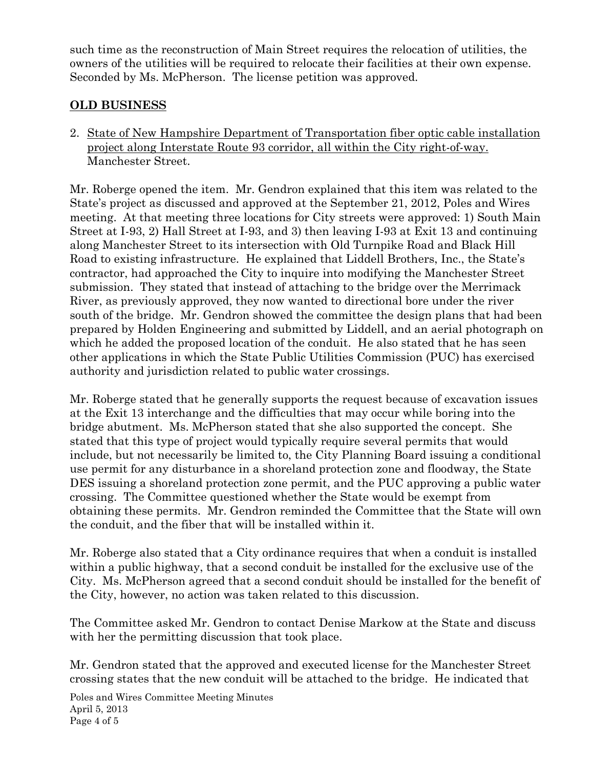such time as the reconstruction of Main Street requires the relocation of utilities, the owners of the utilities will be required to relocate their facilities at their own expense. Seconded by Ms. McPherson. The license petition was approved.

# OLD BUSINESS

2. State of New Hampshire Department of Transportation fiber optic cable installation project along Interstate Route 93 corridor, all within the City right-of-way. Manchester Street.

Mr. Roberge opened the item. Mr. Gendron explained that this item was related to the State's project as discussed and approved at the September 21, 2012, Poles and Wires meeting. At that meeting three locations for City streets were approved: 1) South Main Street at I-93, 2) Hall Street at I-93, and 3) then leaving I-93 at Exit 13 and continuing along Manchester Street to its intersection with Old Turnpike Road and Black Hill Road to existing infrastructure. He explained that Liddell Brothers, Inc., the State's contractor, had approached the City to inquire into modifying the Manchester Street submission. They stated that instead of attaching to the bridge over the Merrimack River, as previously approved, they now wanted to directional bore under the river south of the bridge. Mr. Gendron showed the committee the design plans that had been prepared by Holden Engineering and submitted by Liddell, and an aerial photograph on which he added the proposed location of the conduit. He also stated that he has seen other applications in which the State Public Utilities Commission (PUC) has exercised authority and jurisdiction related to public water crossings.

Mr. Roberge stated that he generally supports the request because of excavation issues at the Exit 13 interchange and the difficulties that may occur while boring into the bridge abutment. Ms. McPherson stated that she also supported the concept. She stated that this type of project would typically require several permits that would include, but not necessarily be limited to, the City Planning Board issuing a conditional use permit for any disturbance in a shoreland protection zone and floodway, the State DES issuing a shoreland protection zone permit, and the PUC approving a public water crossing. The Committee questioned whether the State would be exempt from obtaining these permits. Mr. Gendron reminded the Committee that the State will own the conduit, and the fiber that will be installed within it.

Mr. Roberge also stated that a City ordinance requires that when a conduit is installed within a public highway, that a second conduit be installed for the exclusive use of the City. Ms. McPherson agreed that a second conduit should be installed for the benefit of the City, however, no action was taken related to this discussion.

The Committee asked Mr. Gendron to contact Denise Markow at the State and discuss with her the permitting discussion that took place.

Mr. Gendron stated that the approved and executed license for the Manchester Street crossing states that the new conduit will be attached to the bridge. He indicated that

Poles and Wires Committee Meeting Minutes April 5, 2013 Page 4 of 5